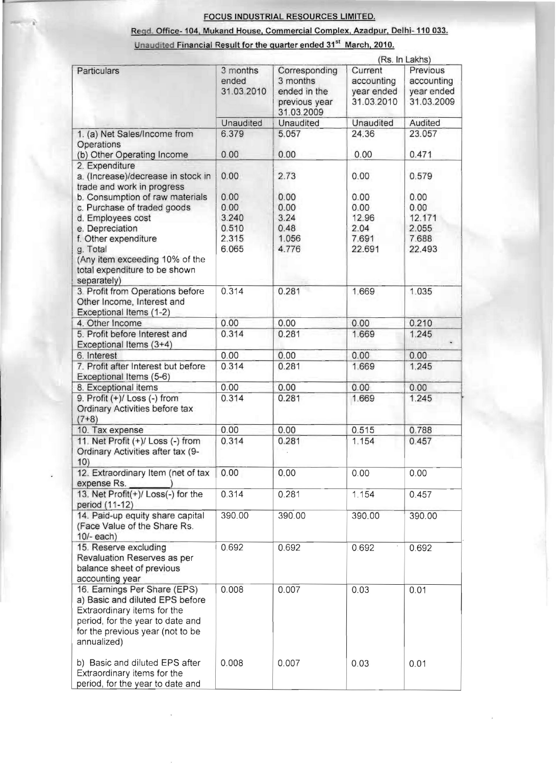## Regd. Office- 104, Mukand House, Commercial Complex, Azadpur, Delhi- 110 033.

## Unaudited Financial Result for the quarter ended 31<sup>st</sup> March, 2010.

|                                                                  |                   |                             | (Rs. In Lakhs)        |                        |
|------------------------------------------------------------------|-------------------|-----------------------------|-----------------------|------------------------|
| Particulars                                                      | 3 months<br>ended | Corresponding<br>3 months   | Current<br>accounting | Previous<br>accounting |
|                                                                  | 31.03.2010        | ended in the                | year ended            | year ended             |
|                                                                  |                   | previous year<br>31.03.2009 | 31.03.2010            | 31.03.2009             |
|                                                                  | Unaudited         | Unaudited                   | Unaudited             | Audited                |
| 1. (a) Net Sales/Income from                                     | 6.379             | 5.057                       | 24.36                 | 23.057                 |
| Operations                                                       |                   |                             |                       |                        |
| (b) Other Operating Income                                       | 0.00              | 0.00                        | 0.00                  | 0.471                  |
| 2. Expenditure                                                   |                   |                             |                       |                        |
| a. (Increase)/decrease in stock in<br>trade and work in progress | 0.00              | 2.73                        | 0.00                  | 0.579                  |
| b. Consumption of raw materials                                  | 0.00              | 0.00                        | 0.00                  | 0.00                   |
| c. Purchase of traded goods                                      | 0.00              | 0.00                        | 0.00                  | 0.00                   |
| d. Employees cost                                                | 3.240             | 3.24                        | 12.96                 | 12.171                 |
| e. Depreciation                                                  | 0.510             | 0.48                        | 2.04                  | 2.055                  |
| f. Other expenditure                                             | 2.315             | 1.056                       | 7.691                 | 7.688                  |
| g. Total                                                         | 6.065             | 4.776                       | 22.691                | 22.493                 |
| (Any item exceeding 10% of the<br>total expenditure to be shown  |                   |                             |                       |                        |
| separately)                                                      |                   |                             |                       |                        |
| 3. Profit from Operations before                                 | 0.314             | 0.281                       | 1.669                 | 1.035                  |
| Other Income, Interest and                                       |                   |                             |                       |                        |
| Exceptional Items (1-2)                                          |                   |                             |                       |                        |
| 4. Other Income                                                  | 0.00              | 0.00                        | 0.00                  | 0.210                  |
| 5. Profit before Interest and<br>Exceptional Items (3+4)         | 0.314             | 0.281                       | 1.669                 | 1.245                  |
| 6. Interest                                                      | 0.00              | 0.00                        | 0.00                  | 0.00                   |
| 7. Profit after Interest but before<br>Exceptional Items (5-6)   | 0.314             | 0.281                       | 1.669                 | 1.245                  |
| 8. Exceptional items                                             | 0.00              | 0.00                        | 0.00                  | 0.00                   |
| 9. Profit $(+)/$ Loss $(-)$ from                                 | 0.314             | 0.281                       | 1.669                 | 1.245                  |
| Ordinary Activities before tax                                   |                   |                             |                       |                        |
| $(7+8)$                                                          |                   |                             |                       |                        |
| 10. Tax expense                                                  | 0.00              | 0.00                        | 0.515                 | 0.788                  |
| 11. Net Profit (+)/ Loss (-) from                                | 0.314             | 0.281                       | 1.154                 | 0.457                  |
| Ordinary Activities after tax (9-                                |                   |                             |                       |                        |
| 10)                                                              |                   |                             |                       |                        |
| 12. Extraordinary Item (net of tax                               | 0.00              | 0.00                        | 0.00                  | 0.00                   |
| expense Rs.                                                      |                   |                             |                       |                        |
| 13. Net Profit(+)/ Loss(-) for the<br>period (11-12)             | 0.314             | 0.281                       | 1.154                 | 0.457                  |
| 14. Paid-up equity share capital                                 | 390.00            | 390.00                      | 390.00                | 390.00                 |
| (Face Value of the Share Rs.                                     |                   |                             |                       |                        |
| $10/-$ each)                                                     |                   |                             |                       |                        |
| 15. Reserve excluding                                            | 0.692             | 0.692                       | 0.692                 | 0.692                  |
| Revaluation Reserves as per                                      |                   |                             |                       |                        |
| balance sheet of previous                                        |                   |                             |                       |                        |
| accounting year                                                  |                   |                             |                       |                        |
| 16. Earnings Per Share (EPS)                                     | 0.008             | 0.007                       | 0.03                  | 0.01                   |
| a) Basic and diluted EPS before                                  |                   |                             |                       |                        |
| Extraordinary items for the                                      |                   |                             |                       |                        |
| period, for the year to date and                                 |                   |                             |                       |                        |
| for the previous year (not to be                                 |                   |                             |                       |                        |
| annualized)                                                      |                   |                             |                       |                        |
|                                                                  |                   |                             |                       |                        |
| b) Basic and diluted EPS after                                   | 0.008             | 0.007                       | 0.03                  | 0.01                   |
| Extraordinary items for the                                      |                   |                             |                       |                        |
| period, for the year to date and                                 |                   |                             |                       |                        |